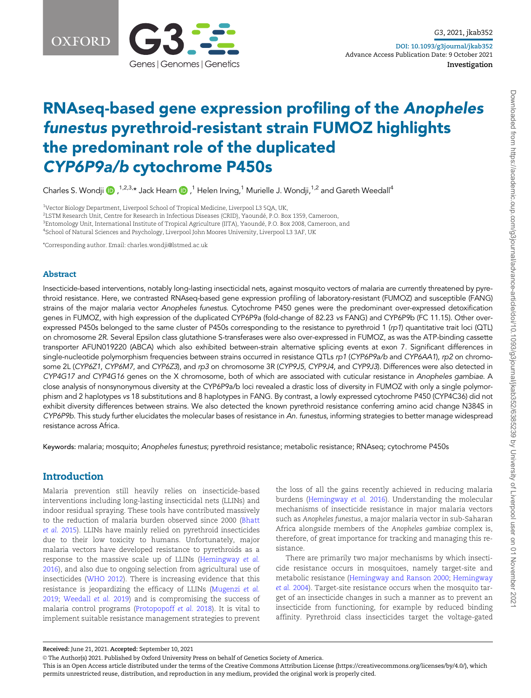

# RNAseq-based gene expression profiling of the Anopheles funestus pyrethroid-resistant strain FUMOZ highlights the predominant role of the duplicated CYP6P9a/b cytochrome P450s

Charles S. Wondji  $\bigcirc$ ,  $^{1,2,3,*}$  Jack Hearn  $\bigcirc$  ,  $^1$  Helen Irving,  $^1$  Murielle J. Wondji,  $^{1,2}$  and Gareth Weedall $^4$ 

<sup>1</sup>Vector Biology Department, Liverpool School of Tropical Medicine, Liverpool L3 5QA, UK,

 $^2$ LSTM Research Unit, Centre for Research in Infectious Diseases (CRID), Yaoundé, P.O. Box 1359, Cameroon,

 $^3$ Entomology Unit, International Institute of Tropical Agriculture (IITA), Yaoundé, P.O. Box 2008, Cameroon, and

4 School of Natural Sciences and Psychology, Liverpool John Moores University, Liverpool L3 3AF, UK

\*Corresponding author. Email: charles.wondji@lstmed.ac.uk

#### Abstract

Insecticide-based interventions, notably long-lasting insecticidal nets, against mosquito vectors of malaria are currently threatened by pyrethroid resistance. Here, we contrasted RNAseq-based gene expression profiling of laboratory-resistant (FUMOZ) and susceptible (FANG) strains of the major malaria vector Anopheles funestus. Cytochrome P450 genes were the predominant over-expressed detoxification genes in FUMOZ, with high expression of the duplicated CYP6P9a (fold-change of 82.23 vs FANG) and CYP6P9b (FC 11.15). Other overexpressed P450s belonged to the same cluster of P450s corresponding to the resistance to pyrethroid 1 (rp1) quantitative trait loci (QTL) on chromosome 2R. Several Epsilon class glutathione S-transferases were also over-expressed in FUMOZ, as was the ATP-binding cassette transporter AFUN019220 (ABCA) which also exhibited between-strain alternative splicing events at exon 7. Significant differences in single-nucleotide polymorphism frequencies between strains occurred in resistance QTLs rp1 (CYP6P9a/b and CYP6AA1), rp2 on chromosome 2L (CYP6Z1, CYP6M7, and CYP6Z3), and rp3 on chromosome 3R (CYP9J5, CYP9J4, and CYP9J3). Differences were also detected in CYP4G17 and CYP4G16 genes on the X chromosome, both of which are associated with cuticular resistance in Anopheles gambiae. A close analysis of nonsynonymous diversity at the CYP6P9a/b loci revealed a drastic loss of diversity in FUMOZ with only a single polymorphism and 2 haplotypes vs 18 substitutions and 8 haplotypes in FANG. By contrast, a lowly expressed cytochrome P450 (CYP4C36) did not exhibit diversity differences between strains. We also detected the known pyrethroid resistance conferring amino acid change N384S in CYP6P9b. This study further elucidates the molecular bases of resistance in An. funestus, informing strategies to better manage widespread resistance across Africa.

Keywords: malaria; mosquito; Anopheles funestus; pyrethroid resistance; metabolic resistance; RNAseq; cytochrome P450s

# Introduction

Malaria prevention still heavily relies on insecticide-based interventions including long-lasting insecticidal nets (LLINs) and indoor residual spraying. These tools have contributed massively to the reduction of malaria burden observed since 2000 [\(Bhatt](#page-10-0) [et al.](#page-10-0) 2015). LLINs have mainly relied on pyrethroid insecticides due to their low toxicity to humans. Unfortunately, major malaria vectors have developed resistance to pyrethroids as a response to the massive scale up of LLINs [\(Hemingway](#page-11-0) et al. [2016](#page-11-0)), and also due to ongoing selection from agricultural use of insecticides [\(WHO 2012](#page-12-0)). There is increasing evidence that this resistance is jeopardizing the efficacy of LLINs ([Mugenzi](#page-11-0) et al. [2019](#page-11-0); [Weedall](#page-12-0) et al. 2019) and is compromising the success of malaria control programs [\(Protopopoff](#page-11-0) et al. 2018). It is vital to implement suitable resistance management strategies to prevent

the loss of all the gains recently achieved in reducing malaria burdens ([Hemingway](#page-11-0) et al. 2016). Understanding the molecular mechanisms of insecticide resistance in major malaria vectors such as Anopheles funestus, a major malaria vector in sub-Saharan Africa alongside members of the Anopheles gambiae complex is, therefore, of great importance for tracking and managing this resistance.

There are primarily two major mechanisms by which insecticide resistance occurs in mosquitoes, namely target-site and metabolic resistance ([Hemingway and Ranson 2000;](#page-11-0) [Hemingway](#page-10-0) et al. [2004\)](#page-10-0). Target-site resistance occurs when the mosquito target of an insecticide changes in such a manner as to prevent an insecticide from functioning, for example by reduced binding affinity. Pyrethroid class insecticides target the voltage-gated

This is an Open Access article distributed under the terms of the Creative Commons Attribution License (https://creativecommons.org/licenses/by/4.0/), which permits unrestricted reuse, distribution, and reproduction in any medium, provided the original work is properly cited.

Received: June 21, 2021. Accepted: September 10, 2021

V<sup>C</sup> The Author(s) 2021. Published by Oxford University Press on behalf of Genetics Society of America.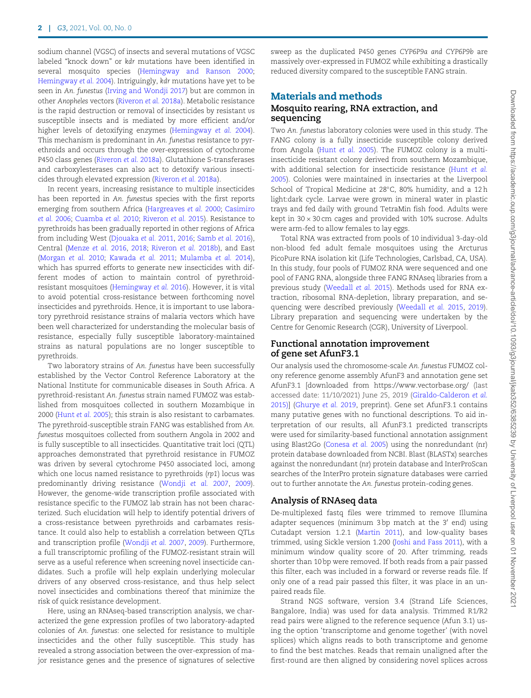sodium channel (VGSC) of insects and several mutations of VGSC labeled "knock down" or kdr mutations have been identified in several mosquito species ([Hemingway and Ranson 2000;](#page-11-0) [Hemingway](#page-10-0) et al. 2004). Intriguingly, kdr mutations have yet to be seen in An. funestus [\(Irving and Wondji 2017](#page-11-0)) but are common in other Anopheles vectors [\(Riveron](#page-11-0) et al. 2018a). Metabolic resistance is the rapid destruction or removal of insecticides by resistant vs susceptible insects and is mediated by more efficient and/or higher levels of detoxifying enzymes ([Hemingway](#page-10-0) et al. 2004). This mechanism is predominant in An. funestus resistance to pyrethroids and occurs through the over-expression of cytochrome P450 class genes [\(Riveron](#page-11-0) et al. 2018a). Glutathione S-transferases and carboxylesterases can also act to detoxify various insecticides through elevated expression [\(Riveron](#page-11-0) et al. 2018a).

In recent years, increasing resistance to multiple insecticides has been reported in An. funestus species with the first reports emerging from southern Africa [\(Hargreaves](#page-10-0) et al. 2000; [Casimiro](#page-10-0) et al. [2006;](#page-10-0) [Cuamba](#page-10-0) et al. 2010; [Riveron](#page-11-0) et al. 2015). Resistance to pyrethroids has been gradually reported in other regions of Africa from including West ([Djouaka](#page-10-0) et al. 2011, [2016;](#page-10-0) [Samb](#page-11-0) et al. 2016), Central ([Menze](#page-11-0) et al. 2016, [2018;](#page-11-0) [Riveron](#page-11-0) et al. 2018b), and East ([Morgan](#page-11-0) et al. 2010; [Kawada](#page-11-0) et al. 2011; [Mulamba](#page-11-0) et al. 2014), which has spurred efforts to generate new insecticides with different modes of action to maintain control of pyrethroidresistant mosquitoes ([Hemingway](#page-11-0) et al. 2016). However, it is vital to avoid potential cross-resistance between forthcoming novel insecticides and pyrethroids. Hence, it is important to use laboratory pyrethroid resistance strains of malaria vectors which have been well characterized for understanding the molecular basis of resistance, especially fully susceptible laboratory-maintained strains as natural populations are no longer susceptible to pyrethroids.

Two laboratory strains of An. funestus have been successfully established by the Vector Control Reference Laboratory at the National Institute for communicable diseases in South Africa. A pyrethroid-resistant An. funestus strain named FUMOZ was established from mosquitoes collected in southern Mozambique in 2000 ([Hunt](#page-11-0) et al. 2005); this strain is also resistant to carbamates. The pyrethroid-susceptible strain FANG was established from An. funestus mosquitoes collected from southern Angola in 2002 and is fully susceptible to all insecticides. Quantitative trait loci (QTL) approaches demonstrated that pyrethroid resistance in FUMOZ was driven by several cytochrome P450 associated loci, among which one locus named resistance to pyrethroids (rp1) locus was predominantly driving resistance [\(Wondji](#page-12-0) et al. 2007, [2009](#page-12-0)). However, the genome-wide transcription profile associated with resistance specific to the FUMOZ lab strain has not been characterized. Such elucidation will help to identify potential drivers of a cross-resistance between pyrethroids and carbamates resistance. It could also help to establish a correlation between QTLs and transcription profile ([Wondji](#page-12-0) et al. 2007, [2009\)](#page-12-0). Furthermore, a full transcriptomic profiling of the FUMOZ-resistant strain will serve as a useful reference when screening novel insecticide candidates. Such a profile will help explain underlying molecular drivers of any observed cross-resistance, and thus help select novel insecticides and combinations thereof that minimize the risk of quick resistance development.

Here, using an RNAseq-based transcription analysis, we characterized the gene expression profiles of two laboratory-adapted colonies of An. funestus: one selected for resistance to multiple insecticides and the other fully susceptible. This study has revealed a strong association between the over-expression of major resistance genes and the presence of signatures of selective sweep as the duplicated P450 genes CYP6P9a and CYP6P9b are massively over-expressed in FUMOZ while exhibiting a drastically reduced diversity compared to the susceptible FANG strain.

## Materials and methods

# Mosquito rearing, RNA extraction, and sequencing

Two An. funestus laboratory colonies were used in this study. The FANG colony is a fully insecticide susceptible colony derived from Angola ([Hunt](#page-11-0) et al. 2005). The FUMOZ colony is a multiinsecticide resistant colony derived from southern Mozambique, with additional selection for insecticide resistance ([Hunt](#page-11-0) et al. [2005](#page-11-0)). Colonies were maintained in insectaries at the Liverpool School of Tropical Medicine at 28°C, 80% humidity, and a 12 h light:dark cycle. Larvae were grown in mineral water in plastic trays and fed daily with ground TetraMin fish food. Adults were kept in  $30 \times 30$  cm cages and provided with  $10\%$  sucrose. Adults were arm-fed to allow females to lay eggs.

Total RNA was extracted from pools of 10 individual 3-day-old non-blood fed adult female mosquitoes using the Arcturus PicoPure RNA isolation kit (Life Technologies, Carlsbad, CA, USA). In this study, four pools of FUMOZ RNA were sequenced and one pool of FANG RNA, alongside three FANG RNAseq libraries from a previous study ([Weedall](#page-12-0) et al. 2015). Methods used for RNA extraction, ribosomal RNA-depletion, library preparation, and sequencing were described previously ([Weedall](#page-12-0) et al. 2015, [2019](#page-12-0)). Library preparation and sequencing were undertaken by the Centre for Genomic Research (CGR), University of Liverpool.

#### Functional annotation improvement of gene set AfunF3.1

Our analysis used the chromosome-scale An. funestus FUMOZ colony reference genome assembly AfunF3 and annotation gene set AfunF3.1 [downloaded from<https://www.vectorbase.org/> (last accessed date: 11/10/2021) June 25, 2019 ([Giraldo-Calderon](#page-10-0) et al. [2015\)](#page-10-0)] [\(Ghurye](#page-10-0) et al. 2019, preprint). Gene set AfunF3.1 contains many putative genes with no functional descriptions. To aid interpretation of our results, all AfunF3.1 predicted transcripts were used for similarity-based functional annotation assignment using Blast2Go [\(Conesa](#page-10-0) et al. 2005) using the nonredundant (nr) protein database downloaded from NCBI. Blast (BLASTx) searches against the nonredundant (nr) protein database and InterProScan searches of the InterPro protein signature databases were carried out to further annotate the An. funestus protein-coding genes.

#### Analysis of RNAseq data

De-multiplexed fastq files were trimmed to remove Illumina adapter sequences (minimum 3 bp match at the 3' end) using Cutadapt version 1.2.1 [\(Martin 2011](#page-11-0)), and low-quality bases trimmed, using Sickle version 1.200 ([Joshi and Fass 2011](#page-11-0)), with a minimum window quality score of 20. After trimming, reads shorter than 10 bp were removed. If both reads from a pair passed this filter, each was included in a forward or reverse reads file. If only one of a read pair passed this filter, it was place in an unpaired reads file.

Strand NGS software, version 3.4 (Strand Life Sciences, Bangalore, India) was used for data analysis. Trimmed R1/R2 read pairs were aligned to the reference sequence (Afun 3.1) using the option 'transcriptome and genome together' (with novel splices) which aligns reads to both transcriptome and genome to find the best matches. Reads that remain unaligned after the first-round are then aligned by considering novel splices across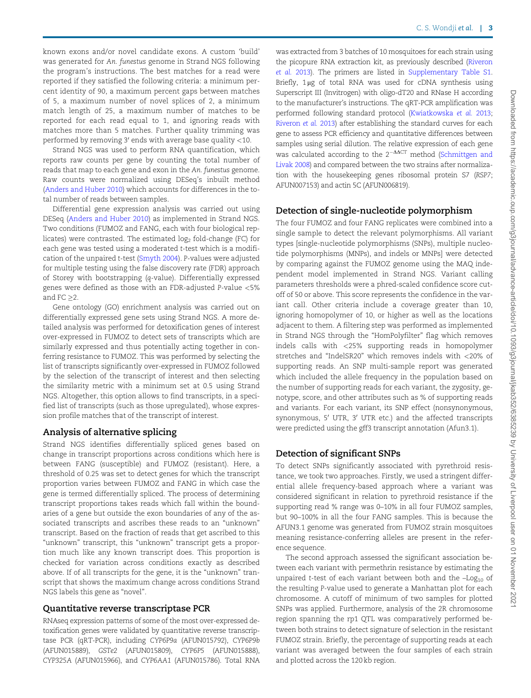known exons and/or novel candidate exons. A custom 'build' was generated for An. funestus genome in Strand NGS following the program's instructions. The best matches for a read were reported if they satisfied the following criteria: a minimum percent identity of 90, a maximum percent gaps between matches of 5, a maximum number of novel splices of 2, a minimum match length of 25, a maximum number of matches to be reported for each read equal to 1, and ignoring reads with matches more than 5 matches. Further quality trimming was performed by removing  $3'$  ends with average base quality  $<$ 10.

Strand NGS was used to perform RNA quantification, which reports raw counts per gene by counting the total number of reads that map to each gene and exon in the An. funestus genome. Raw counts were normalized using DESeq's inbuilt method ([Anders and Huber 2010](#page-10-0)) which accounts for differences in the total number of reads between samples.

Differential gene expression analysis was carried out using DESeq [\(Anders and Huber 2010](#page-10-0)) as implemented in Strand NGS. Two conditions (FUMOZ and FANG, each with four biological replicates) were contrasted. The estimated  $log<sub>2</sub>$  fold-change (FC) for each gene was tested using a moderated t-test which is a modification of the unpaired t-test [\(Smyth 2004\)](#page-11-0). P-values were adjusted for multiple testing using the false discovery rate (FDR) approach of Storey with bootstrapping (q-value). Differentially expressed genes were defined as those with an FDR-adjusted P-value <5% and  $FC >2$ .

Gene ontology (GO) enrichment analysis was carried out on differentially expressed gene sets using Strand NGS. A more detailed analysis was performed for detoxification genes of interest over-expressed in FUMOZ to detect sets of transcripts which are similarly expressed and thus potentially acting together in conferring resistance to FUMOZ. This was performed by selecting the list of transcripts significantly over-expressed in FUMOZ followed by the selection of the transcript of interest and then selecting the similarity metric with a minimum set at 0.5 using Strand NGS. Altogether, this option allows to find transcripts, in a specified list of transcripts (such as those upregulated), whose expression profile matches that of the transcript of interest.

#### Analysis of alternative splicing

Strand NGS identifies differentially spliced genes based on change in transcript proportions across conditions which here is between FANG (susceptible) and FUMOZ (resistant). Here, a threshold of 0.25 was set to detect genes for which the transcript proportion varies between FUMOZ and FANG in which case the gene is termed differentially spliced. The process of determining transcript proportions takes reads which fall within the boundaries of a gene but outside the exon boundaries of any of the associated transcripts and ascribes these reads to an "unknown" transcript. Based on the fraction of reads that get ascribed to this "unknown" transcript, this "unknown" transcript gets a proportion much like any known transcript does. This proportion is checked for variation across conditions exactly as described above. If of all transcripts for the gene, it is the "unknown" transcript that shows the maximum change across conditions Strand NGS labels this gene as "novel".

#### Quantitative reverse transcriptase PCR

RNAseq expression patterns of some of the most over-expressed detoxification genes were validated by quantitative reverse transcriptase PCR (qRT-PCR), including CYP6P9a (AFUN015792), CYP6P9b (AFUN015889), GSTe2 (AFUN015809), CYP6P5 (AFUN015888), CYP325A (AFUN015966), and CYP6AA1 (AFUN015786). Total RNA was extracted from 3 batches of 10 mosquitoes for each strain using the picopure RNA extraction kit, as previously described [\(Riveron](#page-11-0) [et al.](#page-11-0) 2013). The primers are listed in [Supplementary Table S1.](academic.oup.com/g3journal/article-lookup/doi/10.1093/g3journal/jkab352#supplementary-data) Briefly,  $1\mu$ g of total RNA was used for cDNA synthesis using Superscript III (Invitrogen) with oligo-dT20 and RNase H according to the manufacturer's instructions. The qRT-PCR amplification was performed following standard protocol ([Kwiatkowska](#page-11-0) et al. 2013; [Riveron](#page-11-0) et al. 2013) after establishing the standard curves for each gene to assess PCR efficiency and quantitative differences between samples using serial dilution. The relative expression of each gene was calculated according to the  $2^{-\Delta\Delta CT}$  method [\(Schmittgen and](#page-11-0) [Livak 2008](#page-11-0)) and compared between the two strains after normalization with the housekeeping genes ribosomal protein S7 (RSP7; AFUN007153) and actin 5C (AFUN006819).

#### Detection of single-nucleotide polymorphism

The four FUMOZ and four FANG replicates were combined into a single sample to detect the relevant polymorphisms. All variant types [single-nucleotide polymorphisms (SNPs), multiple nucleotide polymorphisms (MNPs), and indels or MNPs] were detected by comparing against the FUMOZ genome using the MAQ independent model implemented in Strand NGS. Variant calling parameters thresholds were a phred-scaled confidence score cutoff of 50 or above. This score represents the confidence in the variant call. Other criteria include a coverage greater than 10, ignoring homopolymer of 10, or higher as well as the locations adjacent to them. A filtering step was performed as implemented in Strand NGS through the "HomPolyfilter" flag which removes indels calls with <25% supporting reads in homopolymer stretches and "IndelSR20" which removes indels with <20% of supporting reads. An SNP multi-sample report was generated which included the allele frequency in the population based on the number of supporting reads for each variant, the zygosity, genotype, score, and other attributes such as % of supporting reads and variants. For each variant, its SNP effect (nonsynonymous, synonymous, 5' UTR, 3' UTR etc.) and the affected transcripts were predicted using the gff3 transcript annotation (Afun3.1).

#### Detection of significant SNPs

To detect SNPs significantly associated with pyrethroid resistance, we took two approaches. Firstly, we used a stringent differential allele frequency-based approach where a variant was considered significant in relation to pyrethroid resistance if the supporting read % range was 0–10% in all four FUMOZ samples, but 90–100% in all the four FANG samples. This is because the AFUN3.1 genome was generated from FUMOZ strain mosquitoes meaning resistance-conferring alleles are present in the reference sequence.

The second approach assessed the significant association between each variant with permethrin resistance by estimating the unpaired t-test of each variant between both and the  $-Log<sub>10</sub>$  of the resulting P-value used to generate a Manhattan plot for each chromosome. A cutoff of minimum of two samples for plotted SNPs was applied. Furthermore, analysis of the 2R chromosome region spanning the rp1 QTL was comparatively performed between both strains to detect signature of selection in the resistant FUMOZ strain. Briefly, the percentage of supporting reads at each variant was averaged between the four samples of each strain and plotted across the 120 kb region.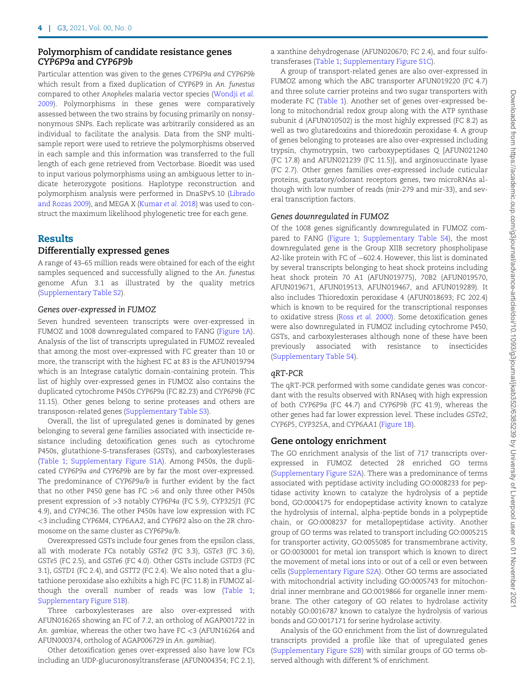# Polymorphism of candidate resistance genes CYP6P9a and CYP6P9b

Particular attention was given to the genes CYP6P9a and CYP6P9b which result from a fixed duplication of CYP6P9 in An. funestus compared to other Anopheles malaria vector species ([Wondji](#page-12-0) et al. [2009\)](#page-12-0). Polymorphisms in these genes were comparatively assessed between the two strains by focusing primarily on nonsynonymous SNPs. Each replicate was arbitrarily considered as an individual to facilitate the analysis. Data from the SNP multisample report were used to retrieve the polymorphisms observed in each sample and this information was transferred to the full length of each gene retrieved from Vectorbase. Bioedit was used to input various polymorphisms using an ambiguous letter to indicate heterozygote positions. Haplotype reconstruction and polymorphism analysis were performed in DnaSPv5.10 ([Librado](#page-11-0) [and Rozas 2009\)](#page-11-0), and MEGA X [\(Kumar](#page-11-0) et al. 2018) was used to construct the maximum likelihood phylogenetic tree for each gene.

#### Results

# Differentially expressed genes

A range of 43–65 million reads were obtained for each of the eight samples sequenced and successfully aligned to the An. funestus genome Afun 3.1 as illustrated by the quality metrics ([Supplementary Table S2\)](academic.oup.com/g3journal/article-lookup/doi/10.1093/g3journal/jkab352#supplementary-data).

## Genes over-expressed in FUMOZ

Seven hundred seventeen transcripts were over-expressed in FUMOZ and 1008 downregulated compared to FANG ([Figure 1A](#page-4-0)). Analysis of the list of transcripts upregulated in FUMOZ revealed that among the most over-expressed with FC greater than 10 or more, the transcript with the highest FC at 83 is the AFUN019794 which is an Integrase catalytic domain-containing protein. This list of highly over-expressed genes in FUMOZ also contains the duplicated cytochrome P450s CYP6P9a (FC 82.23) and CYP6P9b (FC 11.15). Other genes belong to serine proteases and others are transposon-related genes [\(Supplementary Table S3](academic.oup.com/g3journal/article-lookup/doi/10.1093/g3journal/jkab352#supplementary-data)).

Overall, the list of upregulated genes is dominated by genes belonging to several gene families associated with insecticide resistance including detoxification genes such as cytochrome P450s, glutathione-S-transferases (GSTs), and carboxylesterases ([Table 1;](#page-5-0) [Supplementary Figure S1A\)](academic.oup.com/g3journal/article-lookup/doi/10.1093/g3journal/jkab352#supplementary-data). Among P450s, the duplicated CYP6P9a and CYP6P9b are by far the most over-expressed. The predominance of CYP6P9a/b is further evident by the fact that no other P450 gene has FC >6 and only three other P450s present expression of >3 notably CYP6P4a (FC 5.9), CYP325J1 (FC 4.9), and CYP4C36. The other P450s have low expression with FC <3 including CYP6M4, CYP6AA2, and CYP6P2 also on the 2R chromosome on the same cluster as CYP6P9a/b.

Overexpressed GSTs include four genes from the epsilon class, all with moderate FCs notably GSTe2 (FC 3.3), GSTe3 (FC 3.6), GSTe5 (FC 2.5), and GSTe6 (FC 4.0). Other GSTs include GSTD3 (FC 3.1), GSTD1 (FC 2.4), and GSTT2 (FC 2.4). We also noted that a glutathione peroxidase also exhibits a high FC (FC 11.8) in FUMOZ although the overall number of reads was low [\(Table 1;](#page-5-0) [Supplementary Figure S1B\)](academic.oup.com/g3journal/article-lookup/doi/10.1093/g3journal/jkab352#supplementary-data).

Three carboxylesterases are also over-expressed with AFUN016265 showing an FC of 7.2, an ortholog of AGAP001722 in An. gambiae, whereas the other two have FC <3 (AFUN16264 and AFUN000374, ortholog of AGAP006729 in An. gambiae).

Other detoxification genes over-expressed also have low FCs including an UDP-glucuronosyltransferase (AFUN004354; FC 2.1),

a xanthine dehydrogenase (AFUN020670; FC 2.4), and four sulfotransferases [\(Table 1](#page-5-0); [Supplementary Figure S1C\)](academic.oup.com/g3journal/article-lookup/doi/10.1093/g3journal/jkab352#supplementary-data).

A group of transport-related genes are also over-expressed in FUMOZ among which the ABC transporter AFUN019220 (FC 4.7) and three solute carrier proteins and two sugar transporters with moderate FC ([Table 1](#page-5-0)). Another set of genes over-expressed belong to mitochondrial redox group along with the ATP synthase subunit d (AFUN010502) is the most highly expressed (FC 8.2) as well as two glutaredoxins and thioredoxin peroxidase 4. A group of genes belonging to proteases are also over-expressed including trypsin, chymotrypsin, two carboxypeptidases Q [AFUN021240 (FC 17.8) and AFUN021239 (FC 11.5)], and arginosuccinate lyase (FC 2.7). Other genes families over-expressed include cuticular proteins, gustatory/odorant receptors genes, two microRNAs although with low number of reads (mir-279 and mir-33), and several transcription factors.

#### Genes downregulated in FUMOZ

Of the 1008 genes significantly downregulated in FUMOZ compared to FANG [\(Figure 1](#page-4-0); [Supplementary Table S4\)](academic.oup.com/g3journal/article-lookup/doi/10.1093/g3journal/jkab352#supplementary-data), the most downregulated gene is the Group XIIB secretory phospholipase A2-like protein with FC of  $-602.4$ . However, this list is dominated by several transcripts belonging to heat shock proteins including heat shock protein 70 A1 (AFUN019775), 70B2 (AFUN019570, AFUN019671, AFUN019513, AFUN019467, and AFUN019289). It also includes Thioredoxin peroxidase 4 (AFUN018693; FC 202.4) which is known to be required for the transcriptional responses to oxidative stress (Ross [et al.](#page-11-0) 2000). Some detoxification genes were also downregulated in FUMOZ including cytochrome P450, GSTs, and carboxylesterases although none of these have been previously associated with resistance to insecticides [\(Supplementary Table S4](academic.oup.com/g3journal/article-lookup/doi/10.1093/g3journal/jkab352#supplementary-data)).

#### qRT-PCR

The qRT-PCR performed with some candidate genes was concordant with the results observed with RNAseq with high expression of both CYP6P9a (FC 44.7) and CYP6P9b (FC 41.9), whereas the other genes had far lower expression level. These includes GSTe2, CYP6P5, CYP325A, and CYP6AA1 ([Figure 1B\)](#page-4-0).

#### Gene ontology enrichment

The GO enrichment analysis of the list of 717 transcripts overexpressed in FUMOZ detected 28 enriched GO terms [\(Supplementary Figure S2A\)](academic.oup.com/g3journal/article-lookup/doi/10.1093/g3journal/jkab352#supplementary-data). There was a predominance of terms associated with peptidase activity including GO:0008233 for peptidase activity known to catalyze the hydrolysis of a peptide bond, GO:0004175 for endopeptidase activity known to catalyze the hydrolysis of internal, alpha-peptide bonds in a polypeptide chain, or GO:0008237 for metallopeptidase activity. Another group of GO terms was related to transport including GO:0005215 for transporter activity, GO:0055085 for transmembrane activity, or GO:0030001 for metal ion transport which is known to direct the movement of metal ions into or out of a cell or even between cells [\(Supplementary Figure S2A](academic.oup.com/g3journal/article-lookup/doi/10.1093/g3journal/jkab352#supplementary-data)). Other GO terms are associated with mitochondrial activity including GO:0005743 for mitochondrial inner membrane and GO:0019866 for organelle inner membrane. The other category of GO relates to hydrolase activity notably GO:0016787 known to catalyze the hydrolysis of various bonds and GO:0017171 for serine hydrolase activity.

Analysis of the GO enrichment from the list of downregulated transcripts provided a profile like that of upregulated genes [\(Supplementary Figure S2B\)](academic.oup.com/g3journal/article-lookup/doi/10.1093/g3journal/jkab352#supplementary-data) with similar groups of GO terms observed although with different % of enrichment.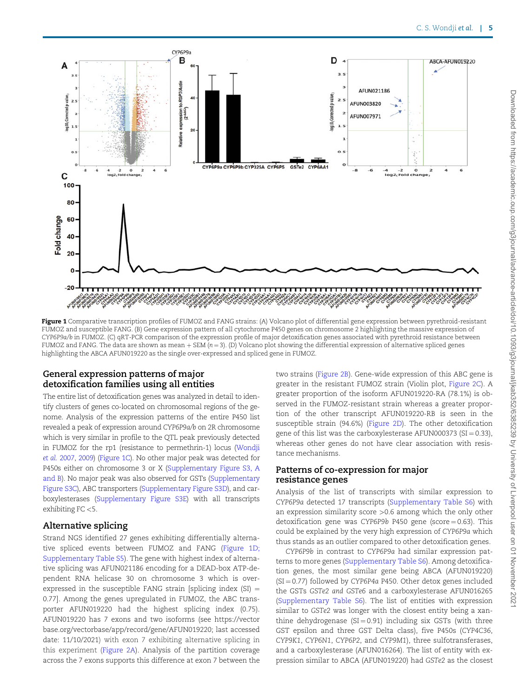<span id="page-4-0"></span>

Figure 1 Comparative transcription profiles of FUMOZ and FANG strains: (A) Volcano plot of differential gene expression between pyrethroid-resistant FUMOZ and susceptible FANG. (B) Gene expression pattern of all cytochrome P450 genes on chromosome 2 highlighting the massive expression of CYP6P9a/b in FUMOZ. (C) qRT-PCR comparison of the expression profile of major detoxification genes associated with pyrethroid resistance between FUMOZ and FANG. The data are shown as mean  $+$  SEM ( $n = 3$ ). (D) Volcano plot showing the differential expression of alternative spliced genes highlighting the ABCA AFUN019220 as the single over-expressed and spliced gene in FUMOZ.

# General expression patterns of major detoxification families using all entities

The entire list of detoxification genes was analyzed in detail to identify clusters of genes co-located on chromosomal regions of the genome. Analysis of the expression patterns of the entire P450 list revealed a peak of expression around CYP6P9a/b on 2R chromosome which is very similar in profile to the QTL peak previously detected in FUMOZ for the rp1 (resistance to permethrin-1) locus [\(Wondji](#page-12-0) et al. [2007,](#page-12-0) [2009\)](#page-12-0) (Figure 1C). No other major peak was detected for P450s either on chromosome 3 or X [\(Supplementary Figure S3, A](academic.oup.com/g3journal/article-lookup/doi/10.1093/g3journal/jkab352#supplementary-data) [and B\)](academic.oup.com/g3journal/article-lookup/doi/10.1093/g3journal/jkab352#supplementary-data). No major peak was also observed for GSTs [\(Supplementary](academic.oup.com/g3journal/article-lookup/doi/10.1093/g3journal/jkab352#supplementary-data) [Figure S3C](academic.oup.com/g3journal/article-lookup/doi/10.1093/g3journal/jkab352#supplementary-data)), ABC transporters ([Supplementary Figure S3D\)](academic.oup.com/g3journal/article-lookup/doi/10.1093/g3journal/jkab352#supplementary-data), and carboxylesterases [\(Supplementary Figure S3E](academic.oup.com/g3journal/article-lookup/doi/10.1093/g3journal/jkab352#supplementary-data)) with all transcripts exhibiting FC <5.

## Alternative splicing

Strand NGS identified 27 genes exhibiting differentially alternative spliced events between FUMOZ and FANG (Figure 1D; [Supplementary Table S5](academic.oup.com/g3journal/article-lookup/doi/10.1093/g3journal/jkab352#supplementary-data)). The gene with highest index of alternative splicing was AFUN021186 encoding for a DEAD-box ATP-dependent RNA helicase 30 on chromosome 3 which is overexpressed in the susceptible FANG strain [splicing index  $(SI)$  = 0.77]. Among the genes upregulated in FUMOZ, the ABC transporter AFUN019220 had the highest splicing index (0.75). AFUN019220 has 7 exons and two isoforms (see [https://vector](https://vectorbase.org/vectorbase/app/record/gene/AFUN019220) [base.org/vectorbase/app/record/gene/AFUN019220; last accessed](https://vectorbase.org/vectorbase/app/record/gene/AFUN019220) [date: 11/10/2021\)](https://vectorbase.org/vectorbase/app/record/gene/AFUN019220) with exon 7 exhibiting alternative splicing in this experiment ([Figure 2A\)](#page-7-0). Analysis of the partition coverage across the 7 exons supports this difference at exon 7 between the two strains [\(Figure 2B\)](#page-7-0). Gene-wide expression of this ABC gene is greater in the resistant FUMOZ strain (Violin plot, [Figure 2C\)](#page-7-0). A greater proportion of the isoform AFUN019220-RA (78.1%) is observed in the FUMOZ-resistant strain whereas a greater proportion of the other transcript AFUN019220-RB is seen in the susceptible strain (94.6%) ([Figure 2D\)](#page-7-0). The other detoxification gene of this list was the carboxylesterase AFUN000373 (SI =  $0.33$ ), whereas other genes do not have clear association with resistance mechanisms.

## Patterns of co-expression for major resistance genes

Analysis of the list of transcripts with similar expression to CYP6P9a detected 17 transcripts ([Supplementary Table S6](academic.oup.com/g3journal/article-lookup/doi/10.1093/g3journal/jkab352#supplementary-data)) with an expression similarity score >0.6 among which the only other detoxification gene was CYP6P9b P450 gene (score  $= 0.63$ ). This could be explained by the very high expression of CYP6P9a which thus stands as an outlier compared to other detoxification genes.

CYP6P9b in contrast to CYP6P9a had similar expression patterns to more genes ([Supplementary Table S6\)](academic.oup.com/g3journal/article-lookup/doi/10.1093/g3journal/jkab352#supplementary-data). Among detoxification genes, the most similar gene being ABCA (AFUN019220)  $(SI = 0.77)$  followed by CYP6P4a P450. Other detox genes included the GSTs GSTe2 and GSTe6 and a carboxylesterase AFUN016265 ([Supplementary Table S6\)](academic.oup.com/g3journal/article-lookup/doi/10.1093/g3journal/jkab352#supplementary-data). The list of entities with expression similar to GSTe2 was longer with the closest entity being a xanthine dehydrogenase ( $SI = 0.91$ ) including six GSTs (with three GST epsilon and three GST Delta class), five P450s (CYP4C36, CYP9K1, CYP6N1, CYP6P2, and CYP9M1), three sulfotransferases, and a carboxylesterase (AFUN016264). The list of entity with expression similar to ABCA (AFUN019220) had GSTe2 as the closest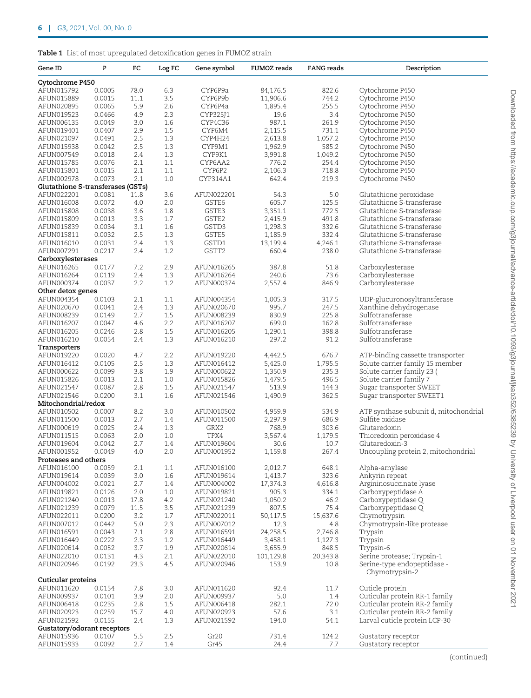<span id="page-5-0"></span>

| Gene ID                           | P      | FC   | Log FC | Gene symbol | <b>FUMOZ</b> reads | <b>FANG</b> reads | Description                                   |
|-----------------------------------|--------|------|--------|-------------|--------------------|-------------------|-----------------------------------------------|
| Cytochrome P450                   |        |      |        |             |                    |                   |                                               |
| AFUN015792                        | 0.0005 | 78.0 | 6.3    | CYP6P9a     | 84,176.5           | 822.6             | Cytochrome P450                               |
| AFUN015889                        | 0.0015 | 11.1 | 3.5    | CYP6P9b     | 11,906.6           | 744.2             | Cytochrome P450                               |
| AFUN020895                        | 0.0065 | 5.9  | 2.6    | CYP6P4a     | 1,895.4            | 255.5             | Cytochrome P450                               |
|                                   |        | 4.9  | 2.3    |             | 19.6               | 3.4               | Cytochrome P450                               |
| AFUN019523                        | 0.0466 |      |        | CYP325J1    |                    |                   |                                               |
| AFUN006135                        | 0.0049 | 3.0  | 1.6    | CYP4C36     | 987.1              | 261.9             | Cytochrome P450                               |
| AFUN019401                        | 0.0407 | 2.9  | 1.5    | CYP6M4      | 2,115.5            | 731.1             | Cytochrome P450                               |
| AFUN021097                        | 0.0491 | 2.5  | 1.3    | CYP4H24     | 2,613.8            | 1,057.2           | Cytochrome P450                               |
| AFUN015938                        | 0.0042 | 2.5  | 1.3    | CYP9M1      | 1,962.9            | 585.2             | Cytochrome P450                               |
| AFUN007549                        | 0.0018 | 2.4  | 1.3    | CYP9K1      | 3,991.8            | 1,049.2           | Cytochrome P450                               |
| AFUN015785                        | 0.0076 | 2.1  | 1.1    | CYP6AA2     | 776.2              | 254.4             | Cytochrome P450                               |
| AFUN015801                        | 0.0015 | 2.1  | 1.1    | CYP6P2      | 2,106.3            | 718.8             | Cytochrome P450                               |
| AFUN002978                        | 0.0073 | 2.1  | 1.0    | CYP314A1    | 642.4              | 219.3             | Cytochrome P450                               |
| Glutathione S-transferases (GSTs) |        |      |        |             |                    |                   |                                               |
| AFUN022201                        | 0.0081 | 11.8 | 3.6    | AFUN022201  | 54.3               | 5.0               | Glutathione peroxidase                        |
| AFUN016008                        | 0.0072 | 4.0  | 2.0    | GSTE6       | 605.7              | 125.5             | Glutathione S-transferase                     |
| AFUN015808                        | 0.0038 | 3.6  | 1.8    | GSTE3       | 3,351.1            | 772.5             | Glutathione S-transferase                     |
| AFUN015809                        | 0.0013 | 3.3  | 1.7    | GSTE2       | 2,415.9            | 491.8             | Glutathione S-transferase                     |
| AFUN015839                        | 0.0034 | 3.1  | 1.6    | GSTD3       | 1,298.3            | 332.6             | Glutathione S-transferase                     |
| AFUN015811                        | 0.0032 | 2.5  | 1.3    | GSTE5       | 1,185.9            | 332.4             | Glutathione S-transferase                     |
| AFUN016010                        | 0.0031 | 2.4  | 1.3    | GSTD1       | 13,199.4           | 4,246.1           | Glutathione S-transferase                     |
| AFUN007291                        | 0.0217 | 2.4  | 1.2    | GSTT2       | 660.4              | 238.0             | Glutathione S-transferase                     |
| Carboxylesterases                 |        |      |        |             |                    |                   |                                               |
|                                   |        |      |        |             |                    |                   |                                               |
| AFUN016265                        | 0.0177 | 7.2  | 2.9    | AFUN016265  | 387.8              | 51.8              | Carboxylesterase                              |
| AFUN016264                        | 0.0119 | 2.4  | 1.3    | AFUN016264  | 240.6              | 73.6              | Carboxylesterase                              |
| AFUN000374                        | 0.0037 | 2.2  | 1.2    | AFUN000374  | 2,557.4            | 846.9             | Carboxylesterase                              |
| Other detox genes                 |        |      |        |             |                    |                   |                                               |
| AFUN004354                        | 0.0103 | 2.1  | 1.1    | AFUN004354  | 1,005.3            | 317.5             | UDP-glucuronosyltransferase                   |
| AFUN020670                        | 0.0041 | 2.4  | 1.3    | AFUN020670  | 995.7              | 247.5             | Xanthine dehydrogenase                        |
| AFUN008239                        | 0.0149 | 2.7  | 1.5    | AFUN008239  | 830.9              | 225.8             | Sulfotransferase                              |
| AFUN016207                        | 0.0047 | 4.6  | 2.2    | AFUN016207  | 699.0              | 162.8             | Sulfotransferase                              |
| AFUN016205                        | 0.0246 | 2.8  | 1.5    | AFUN016205  | 1,290.1            | 398.8             | Sulfotransferase                              |
| AFUN016210                        | 0.0054 | 2.4  | 1.3    | AFUN016210  | 297.2              | 91.2              | Sulfotransferase                              |
| Transporters                      |        |      |        |             |                    |                   |                                               |
| AFUN019220                        | 0.0020 | 4.7  | 2.2    | AFUN019220  | 4,442.5            | 676.7             | ATP-binding cassette transporter              |
| AFUN016412                        | 0.0105 | 2.5  | 1.3    | AFUN016412  | 5,425.0            | 1,795.5           | Solute carrier family 15 member               |
| AFUN000622                        | 0.0099 | 3.8  | 1.9    | AFUN000622  | 1,350.9            | 235.3             | Solute carrier family 23 (                    |
| AFUN015826                        | 0.0013 | 2.1  | 1.0    | AFUN015826  | 1,479.5            | 496.5             | Solute carrier family 7                       |
| AFUN021547                        | 0.0087 | 2.8  | 1.5    | AFUN021547  | 513.9              | 144.3             | Sugar transporter SWEET                       |
| AFUN021546                        | 0.0200 | 3.1  | 1.6    | AFUN021546  | 1,490.9            | 362.5             | Sugar transporter SWEET1                      |
| Mitochondrial/redox               |        |      |        |             |                    |                   |                                               |
| AFUN010502                        | 0.0007 | 8.2  | 3.0    | AFUN010502  | 4,959.9            | 534.9             | ATP synthase subunit d, mitochondria.         |
| AFUN011500                        | 0.0013 | 2.7  |        | AFUN011500  | 2,297.9            | 686.9             | Sulfite oxidase                               |
|                                   |        |      | 1.4    |             |                    |                   |                                               |
| AFUN000619                        | 0.0025 | 2.4  | 1.3    | GRX2        | 768.9              | 303.6             | Glutaredoxin                                  |
| AFUN011515                        | 0.0063 | 2.0  | 1.0    | TPX4        | 3,567.4            | 1,179.5           | Thioredoxin peroxidase 4                      |
| AFUN019604                        | 0.0042 | 2.7  | 1.4    | AFUN019604  | 30.6               | 10.7              | Glutaredoxin-3                                |
| AFUN001952                        | 0.0049 | 4.0  | 2.0    | AFUN001952  | 1,159.8            | 267.4             | Uncoupling protein 2, mitochondrial           |
| Proteases and others              |        |      |        |             |                    |                   |                                               |
| AFUN016100                        | 0.0059 | 2.1  | 1.1    | AFUN016100  | 2,012.7            | 648.1             | Alpha-amylase                                 |
| AFUN019614                        | 0.0039 | 3.0  | 1.6    | AFUN019614  | 1,413.7            | 323.6             | Ankyrin repeat                                |
| AFUN004002                        | 0.0021 | 2.7  | 1.4    | AFUN004002  | 17,374.3           | 4,616.8           | Argininosuccinate lyase                       |
| AFUN019821                        | 0.0126 | 2.0  | 1.0    | AFUN019821  | 905.3              | 334.1             | Carboxypeptidase A                            |
| AFUN021240                        | 0.0013 | 17.8 | 4.2    | AFUN021240  | 1,050.2            | 46.2              | Carboxypeptidase Q                            |
| AFUN021239                        | 0.0079 | 11.5 | 3.5    | AFUN021239  | 807.5              | 75.4              | Carboxypeptidase Q                            |
| AFUN022011                        | 0.0200 | 3.2  | 1.7    | AFUN022011  | 50,117.5           | 15,637.6          | Chymotrypsin                                  |
| AFUN007012                        | 0.0442 | 5.0  | 2.3    | AFUN007012  | 12.3               | 4.8               | Chymotrypsin-like protease                    |
| AFUN016591                        | 0.0043 | 7.1  | 2.8    | AFUN016591  | 24,258.5           | 2,746.8           | Trypsin                                       |
| AFUN016449                        | 0.0222 | 2.3  | 1.2    | AFUN016449  | 3,458.1            | 1,127.3           | Trypsin                                       |
| AFUN020614                        | 0.0052 | 3.7  | 1.9    | AFUN020614  | 3,655.9            | 848.5             | Trypsin-6                                     |
| AFUN022010                        | 0.0131 | 4.3  | 2.1    | AFUN022010  | 101,129.8          | 20,343.8          | Serine protease; Trypsin-1                    |
|                                   |        |      |        |             |                    |                   |                                               |
| AFUN020946                        | 0.0192 | 23.3 | 4.5    | AFUN020946  | 153.9              | 10.8              | Serine-type endopeptidase -<br>Chymotrypsin-2 |
| Cuticular proteins                |        |      |        |             |                    |                   |                                               |
| AFUN011620                        | 0.0154 | 7.8  | 3.0    | AFUN011620  | 92.4               | 11.7              | Cuticle protein                               |
| AFUN009937                        | 0.0101 | 3.9  | 2.0    | AFUN009937  | 5.0                | 1.4               | Cuticular protein RR-1 family                 |
| AFUN006418                        | 0.0235 | 2.8  | 1.5    | AFUN006418  | 282.1              | 72.0              | Cuticular protein RR-2 family                 |
| AFUN020923                        | 0.0259 | 15.7 | 4.0    | AFUN020923  | 57.6               | 3.1               | Cuticular protein RR-2 family                 |
| AFUN021592                        | 0.0155 | 2.4  | 1.3    | AFUN021592  | 194.0              | 54.1              | Larval cuticle protein LCP-30                 |
| Gustatory/odorant receptors       |        |      |        |             |                    |                   |                                               |
| AFUN015936                        | 0.0107 | 5.5  | 2.5    | Gr20        | 731.4              | 124.2             | Gustatory receptor                            |
| AFUN015933                        | 0.0092 | 2.7  | 1.4    | Gr45        | 24.4               | 7.7               | Gustatory receptor                            |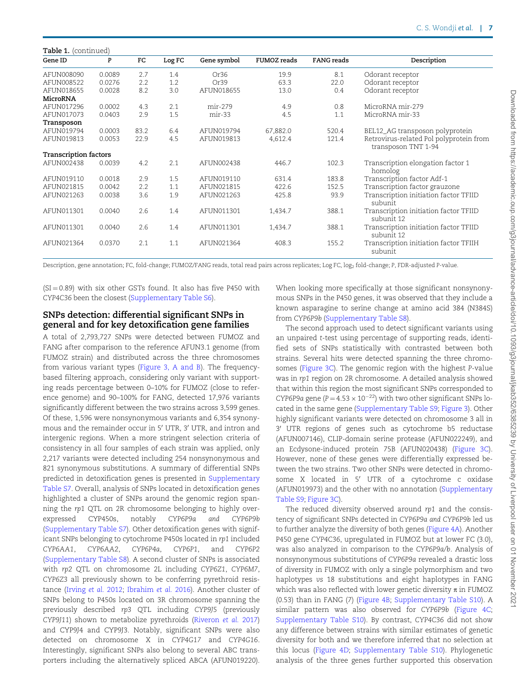| Table 1. (continued)         |        |             |        |                  |                    |                   |                                                                |  |  |
|------------------------------|--------|-------------|--------|------------------|--------------------|-------------------|----------------------------------------------------------------|--|--|
| Gene ID                      | P      | $_{\rm FC}$ | Log FC | Gene symbol      | <b>FUMOZ</b> reads | <b>FANG</b> reads | Description                                                    |  |  |
| AFUN008090                   | 0.0089 | 2.7         | 1.4    | Or <sub>36</sub> | 19.9               | 8.1               | Odorant receptor                                               |  |  |
| AFUN008522                   | 0.0276 | 2.2         | 1.2    | Or <sub>39</sub> | 63.3               | 22.0              | Odorant receptor                                               |  |  |
| AFUN018655                   | 0.0028 | 8.2         | 3.0    | AFUN018655       | 13.0               | 0.4               | Odorant receptor                                               |  |  |
| MicroRNA                     |        |             |        |                  |                    |                   |                                                                |  |  |
| AFUN017296                   | 0.0002 | 4.3         | 2.1    | mir-279          | 4.9                | 0.8               | MicroRNA mir-279                                               |  |  |
| AFUN017073                   | 0.0403 | 2.9         | 1.5    | $mir-33$         | 4.5                | 1.1               | MicroRNA mir-33                                                |  |  |
| Transposon                   |        |             |        |                  |                    |                   |                                                                |  |  |
| AFUN019794                   | 0.0003 | 83.2        | 6.4    | AFUN019794       | 67,882.0           | 520.4             | BEL12_AG transposon polyprotein                                |  |  |
| AFUN019813                   | 0.0053 | 22.9        | 4.5    | AFUN019813       | 4,612.4            | 121.4             | Retrovirus-related Pol polyprotein from<br>transposon TNT 1-94 |  |  |
| <b>Transcription factors</b> |        |             |        |                  |                    |                   |                                                                |  |  |
| AFUN002438                   | 0.0039 | 4.2         | 2.1    | AFUN002438       | 446.7              | 102.3             | Transcription elongation factor 1<br>homolog                   |  |  |
| AFUN019110                   | 0.0018 | 2.9         | 1.5    | AFUN019110       | 631.4              | 183.8             | Transcription factor Adf-1                                     |  |  |
| AFUN021815                   | 0.0042 | 2.2         | 1.1    | AFUN021815       | 422.6              | 152.5             | Transcription factor grauzone                                  |  |  |
| AFUN021263                   | 0.0038 | 3.6         | 1.9    | AFUN021263       | 425.8              | 93.9              | Transcription initiation factor TFIID<br>subunit               |  |  |
| AFUN011301                   | 0.0040 | 2.6         | 1.4    | AFUN011301       | 1,434.7            | 388.1             | Transcription initiation factor TFIID<br>subunit 12            |  |  |
| AFUN011301                   | 0.0040 | 2.6         | 1.4    | AFUN011301       | 1,434.7            | 388.1             | Transcription initiation factor TFIID<br>subunit 12            |  |  |
| AFUN021364                   | 0.0370 | 2.1         | 1.1    | AFUN021364       | 408.3              | 155.2             | Transcription initiation factor TFIIH<br>subunit               |  |  |

Description, gene annotation; FC, fold-change; FUMOZ/FANG reads, total read pairs across replicates; Log FC, log<sub>2</sub> fold-change; P, FDR-adjusted P-value.

 $(SI = 0.89)$  with six other GSTs found. It also has five P450 with CYP4C36 been the closest [\(Supplementary Table S6](academic.oup.com/g3journal/article-lookup/doi/10.1093/g3journal/jkab352#supplementary-data)).

# SNPs detection: differential significant SNPs in general and for key detoxification gene families

A total of 2,793,727 SNPs were detected between FUMOZ and FANG after comparison to the reference AFUN3.1 genome (from FUMOZ strain) and distributed across the three chromosomes from various variant types [\(Figure 3, A and B](#page-8-0)). The frequencybased filtering approach, considering only variant with supporting reads percentage between 0–10% for FUMOZ (close to reference genome) and 90–100% for FANG, detected 17,976 variants significantly different between the two strains across 3,599 genes. Of these, 1,596 were nonsynonymous variants and 6,354 synonymous and the remainder occur in 5' UTR, 3' UTR, and intron and intergenic regions. When a more stringent selection criteria of consistency in all four samples of each strain was applied, only 2,217 variants were detected including 254 nonsynonymous and 821 synonymous substitutions. A summary of differential SNPs predicted in detoxification genes is presented in [Supplementary](academic.oup.com/g3journal/article-lookup/doi/10.1093/g3journal/jkab352#supplementary-data) [Table S7.](academic.oup.com/g3journal/article-lookup/doi/10.1093/g3journal/jkab352#supplementary-data) Overall, analysis of SNPs located in detoxification genes highlighted a cluster of SNPs around the genomic region spanning the rp1 QTL on 2R chromosome belonging to highly overexpressed CYP450s, notably CYP6P9a and CYP6P9b ([Supplementary Table S7\)](academic.oup.com/g3journal/article-lookup/doi/10.1093/g3journal/jkab352#supplementary-data). Other detoxification genes with significant SNPs belonging to cytochrome P450s located in rp1 included CYP6AA1, CYP6AA2, CYP6P4a, CYP6P1, and CYP6P2 ([Supplementary Table S8](academic.oup.com/g3journal/article-lookup/doi/10.1093/g3journal/jkab352#supplementary-data)). A second cluster of SNPs is associated with rp2 QTL on chromosome 2L including CYP6Z1, CYP6M7, CYP6Z3 all previously shown to be conferring pyrethroid resistance [\(Irving](#page-11-0) et al. 2012; [Ibrahim](#page-11-0) et al. 2016). Another cluster of SNPs belong to P450s located on 3R chromosome spanning the previously described rp3 QTL including CYP9J5 (previously CYP9J11) shown to metabolize pyrethroids ([Riveron](#page-11-0) et al. 2017) and CYP9J4 and CYP9J3. Notably, significant SNPs were also detected on chromosome X in CYP4G17 and CYP4G16. Interestingly, significant SNPs also belong to several ABC transporters including the alternatively spliced ABCA (AFUN019220).

When looking more specifically at those significant nonsynonymous SNPs in the P450 genes, it was observed that they include a known asparagine to serine change at amino acid 384 (N384S) from CYP6P9b [\(Supplementary Table S8](academic.oup.com/g3journal/article-lookup/doi/10.1093/g3journal/jkab352#supplementary-data)).

The second approach used to detect significant variants using an unpaired t-test using percentage of supporting reads, identified sets of SNPs statistically with contrasted between both strains. Several hits were detected spanning the three chromosomes ([Figure 3C](#page-8-0)). The genomic region with the highest P-value was in rp1 region on 2R chromosome. A detailed analysis showed that within this region the most significant SNPs corresponded to CYP6P9a gene ( $P = 4.53 \times 10^{-22}$ ) with two other significant SNPs located in the same gene ([Supplementary Table S9;](academic.oup.com/g3journal/article-lookup/doi/10.1093/g3journal/jkab352#supplementary-data) [Figure 3\)](#page-8-0). Other highly significant variants were detected on chromosome 3 all in 3' UTR regions of genes such as cytochrome b5 reductase (AFUN007146), CLIP-domain serine protease (AFUN022249), and an Ecdysone-induced protein 75B (AFUN020438) ([Figure 3C](#page-8-0)). However, none of these genes were differentially expressed between the two strains. Two other SNPs were detected in chromosome X located in 5' UTR of a cytochrome c oxidase (AFUN019973) and the other with no annotation [\(Supplementary](academic.oup.com/g3journal/article-lookup/doi/10.1093/g3journal/jkab352#supplementary-data) [Table S9](academic.oup.com/g3journal/article-lookup/doi/10.1093/g3journal/jkab352#supplementary-data); [Figure 3C\)](#page-8-0).

The reduced diversity observed around rp1 and the consistency of significant SNPs detected in CYP6P9a and CYP6P9b led us to further analyze the diversity of both genes ([Figure 4A\)](#page-8-0). Another P450 gene CYP4C36, upregulated in FUMOZ but at lower FC (3.0), was also analyzed in comparison to the CYP6P9a/b. Analysis of nonsynonymous substitutions of CYP6P9a revealed a drastic loss of diversity in FUMOZ with only a single polymorphism and two haplotypes vs 18 substitutions and eight haplotypes in FANG which was also reflected with lower genetic diversity  $\pi$  in FUMOZ (0.53) than in FANG (7) [\(Figure 4B](#page-8-0); [Supplementary Table S10\)](academic.oup.com/g3journal/article-lookup/doi/10.1093/g3journal/jkab352#supplementary-data). A similar pattern was also observed for CYP6P9b ([Figure 4C;](#page-8-0) [Supplementary Table S10](academic.oup.com/g3journal/article-lookup/doi/10.1093/g3journal/jkab352#supplementary-data)). By contrast, CYP4C36 did not show any difference between strains with similar estimates of genetic diversity for both and we therefore inferred that no selection at this locus ([Figure 4D](#page-8-0); [Supplementary Table S10\)](academic.oup.com/g3journal/article-lookup/doi/10.1093/g3journal/jkab352#supplementary-data). Phylogenetic analysis of the three genes further supported this observation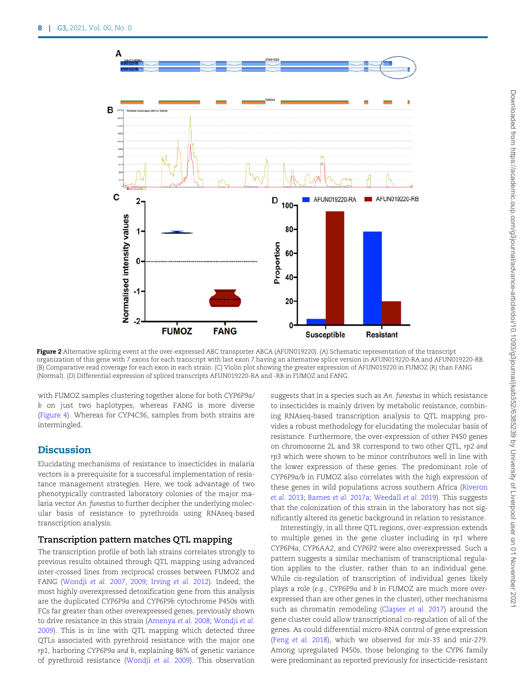<span id="page-7-0"></span>

Figure 2 Alternative splicing event at the over-expressed ABC transporter ABCA (AFUN019220). (A) Schematic representation of the transcript organization of this gene with 7 exons for each transcript with last exon 7 having an alternative splice version in AFUN019220-RA and AFUN019220-RB. (B) Comparative read coverage for each exon in each strain. (C) Violin plot showing the greater expression of AFUN019220 in FUMOZ (R) than FANG (Normal). (D) Differential expression of spliced transcripts AFUN019220-RA and -RB in FUMOZ and FANG.

with FUMOZ samples clustering together alone for both CYP6P9a/ b on just two haplotypes, whereas FANG is more diverse ([Figure 4](#page-8-0)). Whereas for CYP4C36, samples from both strains are intermingled.

# **Discussion**

Elucidating mechanisms of resistance to insecticides in malaria vectors is a prerequisite for a successful implementation of resistance management strategies. Here, we took advantage of two phenotypically contrasted laboratory colonies of the major malaria vector An. funestus to further decipher the underlying molecular basis of resistance to pyrethroids using RNAseq-based transcription analysis.

## Transcription pattern matches QTL mapping

The transcription profile of both lab strains correlates strongly to previous results obtained through QTL mapping using advanced inter-crossed lines from reciprocal crosses between FUMOZ and FANG [\(Wondji](#page-12-0) et al. 2007, [2009;](#page-12-0) [Irving](#page-11-0) et al. 2012). Indeed, the most highly overexpressed detoxification gene from this analysis are the duplicated CYP6P9a and CYP6P9b cytochrome P450s with FCs far greater than other overexpressed genes, previously shown to drive resistance in this strain ([Amenya](#page-10-0) et al. 2008; [Wondji](#page-12-0) et al. [2009\)](#page-12-0). This is in line with QTL mapping which detected three QTLs associated with pyrethroid resistance with the major one rp1, harboring CYP6P9a and b, explaining 86% of genetic variance of pyrethroid resistance ([Wondji](#page-12-0) et al. 2009). This observation suggests that in a species such as An. funestus in which resistance to insecticides is mainly driven by metabolic resistance, combining RNAseq-based transcription analysis to QTL mapping provides a robust methodology for elucidating the molecular basis of resistance. Furthermore, the over-expression of other P450 genes on chromosome 2L and 3R correspond to two other QTL, rp2 and rp3 which were shown to be minor contributors well in line with the lower expression of these genes. The predominant role of CYP6P9a/b in FUMOZ also correlates with the high expression of these genes in wild populations across southern Africa ([Riveron](#page-11-0) et al. [2013;](#page-11-0) [Barnes](#page-10-0) et al. 2017a; [Weedall](#page-12-0) et al. 2019). This suggests that the colonization of this strain in the laboratory has not significantly altered its genetic background in relation to resistance.

Interestingly, in all three QTL regions, over-expression extends to multiple genes in the gene cluster including in rp1 where CYP6P4a, CYP6AA2, and CYP6P2 were also overexpressed. Such a pattern suggests a similar mechanism of transcriptional regulation applies to the cluster, rather than to an individual gene. While cis-regulation of transcription of individual genes likely plays a role (e.g., CYP6P9a and b in FUMOZ are much more overexpressed than are other genes in the cluster), other mechanisms such as chromatin remodeling ([Clapier](#page-10-0) et al. 2017) around the gene cluster could allow transcriptional co-regulation of all of the genes. As could differential micro-RNA control of gene expression (Feng [et al.](#page-10-0) 2018), which we observed for mir-33 and mir-279. Among upregulated P450s, those belonging to the CYP6 family were predominant as reported previously for insecticide-resistant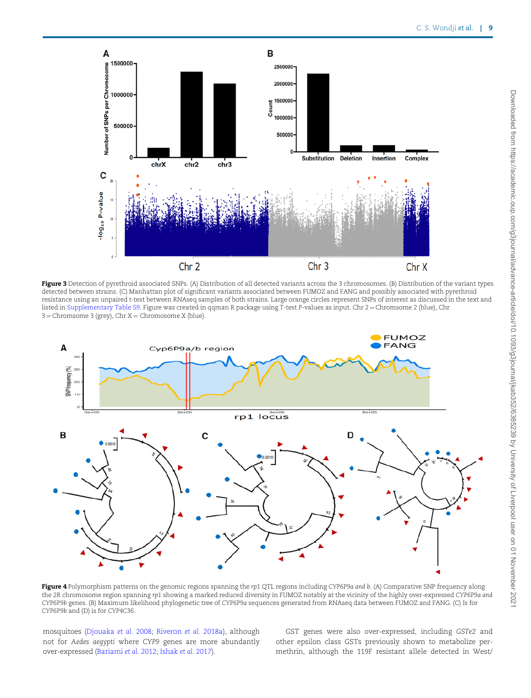<span id="page-8-0"></span>

Figure 3 Detection of pyrethroid associated SNPs. (A) Distribution of all detected variants across the 3 chromosomes. (B) Distribution of the variant types detected between strains. (C) Manhattan plot of significant variants associated between FUMOZ and FANG and possibly associated with pyrethroid resistance using an unpaired t-test between RNAseq samples of both strains. Large orange circles represent SNPs of interest as discussed in the text and listed in [Supplementary Table S9.](academic.oup.com/g3journal/article-lookup/doi/10.1093/g3journal/jkab352#supplementary-data) Figure was created in qqman R package using T-test P-values as input. Chr 2 = Chromsome 2 (blue), Chr  $3 =$ Chromsome 3 (grey), Chr X = Chromosome X (blue).



Figure 4 Polymorphism patterns on the genomic regions spanning the rp1 QTL regions including CYP6P9a and b. (A) Comparative SNP frequency along the 2R chromosome region spanning rp1 showing a marked reduced diversity in FUMOZ notably at the vicinity of the highly over-expressed CYP6P9a and CYP6P9b genes. (B) Maximum likelihood phylogenetic tree of CYP6P9a sequences generated from RNAseq data between FUMOZ and FANG. (C) Is for CYP6P9b and (D) is for CYP4C36.

mosquitoes [\(Djouaka](#page-10-0) et al. 2008; [Riveron](#page-11-0) et al. 2018a), although not for Aedes aegypti where CYP9 genes are more abundantly over-expressed ([Bariami](#page-10-0) et al. 2012; [Ishak](#page-11-0) et al. 2017).

GST genes were also over-expressed, including GSTe2 and other epsilon class GSTs previously shown to metabolize permethrin, although the 119F resistant allele detected in West/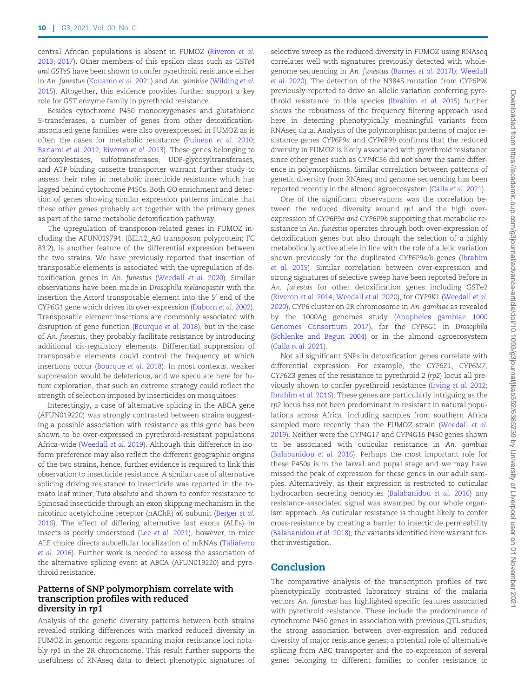central African populations is absent in FUMOZ ([Riveron](#page-11-0) et al. [2013;](#page-11-0) [2017](#page-11-0)). Other members of this epsilon class such as GSTe4 and GSTe5 have been shown to confer pyrethroid resistance either in An. funestus ([Kouamo](#page-11-0) et al. 2021) and An. gambiae [\(Wilding](#page-12-0) et al. [2015\)](#page-12-0). Altogether, this evidence provides further support a key role for GST enzyme family in pyrethroid resistance.

Besides cytochrome P450 monooxygenases and glutathione S-transferases, a number of genes from other detoxificationassociated gene families were also overexpressed in FUMOZ as is often the cases for metabolic resistance ([Puinean](#page-11-0) et al. 2010; [Bariami](#page-10-0) et al. 2012; [Riveron](#page-11-0) et al. 2013). These genes belonging to carboxylestases, sulfotransferases, UDP-glycosyltransferases, and ATP-binding cassette transporter warrant further study to assess their roles in metabolic insecticide resistance which has lagged behind cytochrome P450s. Both GO enrichment and detection of genes showing similar expression patterns indicate that these other genes probably act together with the primary genes as part of the same metabolic detoxification pathway.

The upregulation of transposon-related genes in FUMOZ including the AFUN019794, (BEL12\_AG transposon polyprotein; FC 83.2), is another feature of the differential expression between the two strains. We have previously reported that insertion of transposable elements is associated with the upregulation of detoxification genes in An. funestus ([Weedall](#page-12-0) et al. 2020). Similar observations have been made in Drosophila melanogaster with the insertion the Accord transposable element into the 5' end of the CYP6G1 gene which drives its over-expression [\(Daborn](#page-10-0) et al. 2002). Transposable element insertions are commonly associated with disruption of gene function ([Bourque](#page-10-0) et al. 2018), but in the case of An. funestus, they probably facilitate resistance by introducing additional cis-regulatory elements. Differential suppression of transposable elements could control the frequency at which insertions occur ([Bourque](#page-10-0) et al. 2018). In most contexts, weaker suppression would be deleterious, and we speculate here for future exploration, that such an extreme strategy could reflect the strength of selection imposed by insecticides on mosquitoes.

Interestingly, a case of alternative splicing in the ABCA gene (AFUN019220) was strongly contrasted between strains suggesting a possible association with resistance as this gene has been shown to be over-expressed in pyrethroid-resistant populations Africa-wide ([Weedall](#page-12-0) et al. 2019). Although this difference in isoform preference may also reflect the different geographic origins of the two strains, hence, further evidence is required to link this observation to insecticide resistance. A similar case of alternative splicing driving resistance to insecticide was reported in the tomato leaf miner, Tuta absoluta and shown to confer resistance to Spinosad insecticide through an exon skipping mechanism in the nicotinic acetylcholine receptor (nAChR) a6 subunit [\(Berger](#page-10-0) et al. [2016\)](#page-10-0). The effect of differing alternative last exons (ALEs) in insects is poorly understood (Lee [et al.](#page-11-0) 2021), however, in mice ALE choice directs subcellular localization of mRNAs ([Taliaferro](#page-12-0) [et al.](#page-12-0) 2016). Further work is needed to assess the association of the alternative splicing event at ABCA (AFUN019220) and pyrethroid resistance.

#### Patterns of SNP polymorphism correlate with transcription profiles with reduced diversity in rp1

Analysis of the genetic diversity patterns between both strains revealed striking differences with marked reduced diversity in FUMOZ in genomic regions spanning major resistance loci notably rp1 in the 2R chromosome. This result further supports the usefulness of RNAseq data to detect phenotypic signatures of selective sweep as the reduced diversity in FUMOZ using RNAseq correlates well with signatures previously detected with wholegenome sequencing in An. funestus [\(Barnes](#page-10-0) et al. 2017b; [Weedall](#page-12-0) [et al.](#page-12-0) 2020). The detection of the N384S mutation from CYP6P9b previously reported to drive an allelic variation conferring pyrethroid resistance to this species [\(Ibrahim](#page-11-0) et al. 2015) further shows the robustness of the frequency filtering approach used here in detecting phenotypically meaningful variants from RNAseq data. Analysis of the polymorphism patterns of major resistance genes CYP6P9a and CYP6P9b confirms that the reduced diversity in FUMOZ is likely associated with pyrethroid resistance since other genes such as CYP4C36 did not show the same difference in polymorphisms. Similar correlation between patterns of genetic diversity from RNAseq and genome sequencing has been reported recently in the almond agroecosystem ([Calla](#page-10-0) et al. 2021).

One of the significant observations was the correlation between the reduced diversity around rp1 and the high overexpression of CYP6P9a and CYP6P9b supporting that metabolic resistance in An. funestus operates through both over-expression of detoxification genes but also through the selection of a highly metabolically active allele in line with the role of allelic variation shown previously for the duplicated CYP6P9a/b genes [\(Ibrahim](#page-11-0) [et al.](#page-11-0) 2015). Similar correlation between over-expression and strong signatures of selective sweep have been reported before in An. funestus for other detoxification genes including GSTe2 [\(Riveron](#page-11-0) et al. 2014; [Weedall](#page-12-0) et al. 2020), for CYP9K1 ([Weedall](#page-12-0) et al. [2020](#page-12-0)), CYP6 cluster on 2R chromosome in An. gambiae as revealed by the 1000Ag genomes study [\(Anopheles gambiae 1000](#page-10-0) [Genomes Consortium 2017\)](#page-10-0), for the CYP6G1 in Drosophila [\(Schlenke and Begun 2004\)](#page-11-0) or in the almond agroecosystem [\(Calla](#page-10-0) et al. 2021).

Not all significant SNPs in detoxification genes correlate with differential expression. For example, the CYP6Z1, CYP6M7, CYP6Z3 genes of the resistance to pyrethroid 2 (rp2) locus all previously shown to confer pyrethroid resistance [\(Irving](#page-11-0) et al. 2012; [Ibrahim](#page-11-0) et al. 2016). These genes are particularly intriguing as the rp2 locus has not been predominant in resistant in natural populations across Africa, including samples from southern Africa sampled more recently than the FUMOZ strain ([Weedall](#page-12-0) et al. [2019](#page-12-0)). Neither were the CYP4G17 and CYP4G16 P450 genes shown to be associated with cuticular resistance in An. gambiae [\(Balabanidou](#page-10-0) et al. 2016). Perhaps the most important role for these P450s is in the larval and pupal stage and we may have missed the peak of expression for these genes in our adult samples. Alternatively, as their expression is restricted to cuticular hydrocarbon secreting oenocytes ([Balabanidou](#page-10-0) et al. 2016) any resistance-associated signal was swamped by our whole organism approach. As cuticular resistance is thought likely to confer cross-resistance by creating a barrier to insecticide permeability [\(Balabanidou](#page-10-0) et al. 2018), the variants identified here warrant further investigation.

# Conclusion

The comparative analysis of the transcription profiles of two phenotypically contrasted laboratory strains of the malaria vectors An. funestus has highlighted specific features associated with pyrethroid resistance. These include the predominance of cytochrome P450 genes in association with previous QTL studies; the strong association between over-expression and reduced diversity of major resistance genes; a potential role of alternative splicing from ABC transporter and the co-expression of several genes belonging to different families to confer resistance to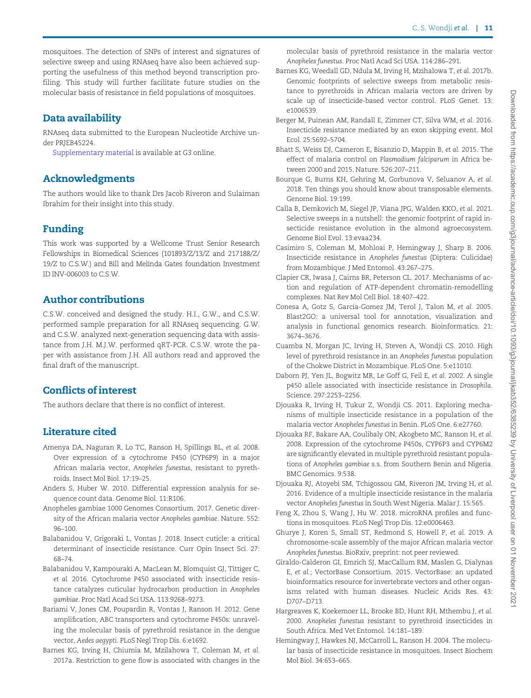<span id="page-10-0"></span>mosquitoes. The detection of SNPs of interest and signatures of selective sweep and using RNAseq have also been achieved supporting the usefulness of this method beyond transcription profiling. This study will further facilitate future studies on the molecular basis of resistance in field populations of mosquitoes.

# Data availability

RNAseq data submitted to the European Nucleotide Archive under PRJEB45224.

[Supplementary material](academic.oup.com/g3journal/article-lookup/doi/10.1093/g3journal/jkab352#supplementary-data) is available at G3 online.

# Acknowledgments

The authors would like to thank Drs Jacob Riveron and Sulaiman Ibrahim for their insight into this study.

# Funding

This work was supported by a Wellcome Trust Senior Research Fellowships in Biomedical Sciences (101893/Z/13/Z and 217188/Z/ 19/Z to C.S.W.) and Bill and Melinda Gates foundation Investment ID INV-006003 to C.S.W.

# Author contributions

C.S.W. conceived and designed the study. H.I., G.W., and C.S.W. performed sample preparation for all RNAseq sequencing. G.W. and C.S.W. analyzed next-generation sequencing data with assistance from J.H. M.J.W. performed qRT-PCR. C.S.W. wrote the paper with assistance from J.H. All authors read and approved the final draft of the manuscript.

# Conflicts of interest

The authors declare that there is no conflict of interest.

# Literature cited

- Amenya DA, Naguran R, Lo TC, Ranson H, Spillings BL, et al. 2008. Over expression of a cytochrome P450 (CYP6P9) in a major African malaria vector, Anopheles funestus, resistant to pyrethroids. Insect Mol Biol. 17:19–25.
- Anders S, Huber W. 2010. Differential expression analysis for sequence count data. Genome Biol. 11:R106.
- Anopheles gambiae 1000 Genomes Consortium. 2017. Genetic diversity of the African malaria vector Anopheles gambiae. Nature. 552: 96–100.
- Balabanidou V, Grigoraki L, Vontas J. 2018. Insect cuticle: a critical determinant of insecticide resistance. Curr Opin Insect Sci. 27: 68–74.
- Balabanidou V, Kampouraki A, MacLean M, Blomquist GJ, Tittiger C, et al. 2016. Cytochrome P450 associated with insecticide resistance catalyzes cuticular hydrocarbon production in Anopheles gambiae. Proc Natl Acad Sci USA. 113:9268–9273.
- Bariami V, Jones CM, Poupardin R, Vontas J, Ranson H. 2012. Gene amplification, ABC transporters and cytochrome P450s: unraveling the molecular basis of pyrethroid resistance in the dengue vector, Aedes aegypti. PLoS Negl Trop Dis. 6:e1692.
- Barnes KG, Irving H, Chiumia M, Mzilahowa T, Coleman M, et al. 2017a. Restriction to gene flow is associated with changes in the

molecular basis of pyrethroid resistance in the malaria vector Anopheles funestus. Proc Natl Acad Sci USA. 114:286–291.

- Barnes KG, Weedall GD, Ndula M, Irving H, Mzihalowa T, et al. 2017b. Genomic footprints of selective sweeps from metabolic resistance to pyrethroids in African malaria vectors are driven by scale up of insecticide-based vector control. PLoS Genet. 13: e1006539.
- Berger M, Puinean AM, Randall E, Zimmer CT, Silva WM, et al. 2016. Insecticide resistance mediated by an exon skipping event. Mol Ecol. 25:5692–5704.
- Bhatt S, Weiss DJ, Cameron E, Bisanzio D, Mappin B, et al. 2015. The effect of malaria control on Plasmodium falciparum in Africa between 2000 and 2015. Nature. 526:207–211.
- Bourque G, Burns KH, Gehring M, Gorbunova V, Seluanov A, et al. 2018. Ten things you should know about transposable elements. Genome Biol. 19:199.
- Calla B, Demkovich M, Siegel JP, Viana JPG, Walden KKO, et al. 2021. Selective sweeps in a nutshell: the genomic footprint of rapid insecticide resistance evolution in the almond agroecosystem. Genome Biol Evol. 13:evaa234.
- Casimiro S, Coleman M, Mohloai P, Hemingway J, Sharp B. 2006. Insecticide resistance in Anopheles funestus (Diptera: Culicidae) from Mozambique. J Med Entomol. 43:267–275.
- Clapier CR, Iwasa J, Cairns BR, Peterson CL. 2017. Mechanisms of action and regulation of ATP-dependent chromatin-remodelling complexes. Nat Rev Mol Cell Biol. 18:407–422.
- Conesa A, Gotz S, Garcia-Gomez JM, Terol J, Talon M, et al. 2005. Blast2GO: a universal tool for annotation, visualization and analysis in functional genomics research. Bioinformatics. 21: 3674–3676.
- Cuamba N, Morgan JC, Irving H, Steven A, Wondji CS. 2010. High level of pyrethroid resistance in an Anopheles funestus population of the Chokwe District in Mozambique. PLoS One. 5:e11010.
- Daborn PJ, Yen JL, Bogwitz MR, Le Goff G, Feil E, et al. 2002. A single p450 allele associated with insecticide resistance in Drosophila. Science. 297:2253–2256.
- Djouaka R, Irving H, Tukur Z, Wondji CS. 2011. Exploring mechanisms of multiple insecticide resistance in a population of the malaria vector Anopheles funestus in Benin. PLoS One. 6:e27760.
- Djouaka RF, Bakare AA, Coulibaly ON, Akogbeto MC, Ranson H, et al. 2008. Expression of the cytochrome P450s, CYP6P3 and CYP6M2 are significantly elevated in multiple pyrethroid resistant populations of Anopheles gambiae s.s. from Southern Benin and Nigeria. BMC Genomics. 9:538.
- Djouaka RJ, Atoyebi SM, Tchigossou GM, Riveron JM, Irving H, et al. 2016. Evidence of a multiple insecticide resistance in the malaria vector Anopheles funestus in South West Nigeria. Malar J. 15:565.
- Feng X, Zhou S, Wang J, Hu W. 2018. microRNA profiles and functions in mosquitoes. PLoS Negl Trop Dis. 12:e0006463.
- Ghurye J, Koren S, Small ST, Redmond S, Howell P, et al. 2019. A chromosome-scale assembly of the major African malaria vector Anopheles funestus. BioRxiv, preprint: not peer reviewed.
- Giraldo-Calderon GI, Emrich SJ, MacCallum RM, Maslen G, Dialynas E, et al.; VectorBase Consortium. 2015. VectorBase: an updated bioinformatics resource for invertebrate vectors and other organisms related with human diseases. Nucleic Acids Res. 43: D707–D713.
- Hargreaves K, Koekemoer LL, Brooke BD, Hunt RH, Mthembu J, et al. 2000. Anopheles funestus resistant to pyrethroid insecticides in South Africa. Med Vet Entomol. 14:181–189.
- Hemingway J, Hawkes NJ, McCarroll L, Ranson H. 2004. The molecular basis of insecticide resistance in mosquitoes. Insect Biochem Mol Biol. 34:653–665.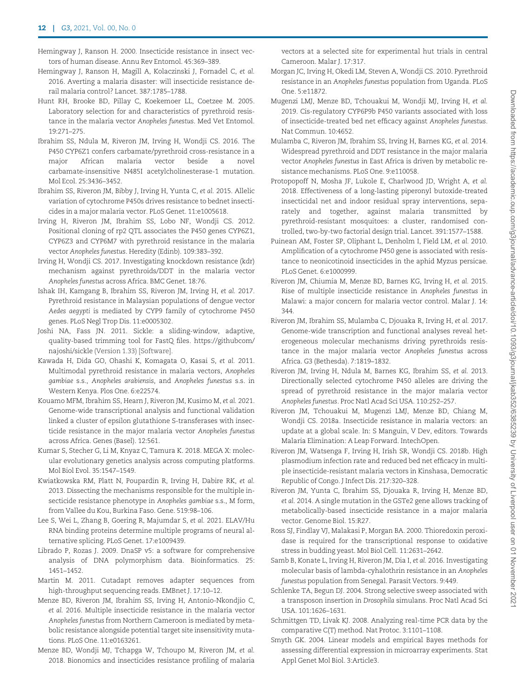- <span id="page-11-0"></span>Hemingway J, Ranson H. 2000. Insecticide resistance in insect vectors of human disease. Annu Rev Entomol. 45:369–389.
- Hemingway J, Ranson H, Magill A, Kolaczinski J, Fornadel C, et al. 2016. Averting a malaria disaster: will insecticide resistance derail malaria control? Lancet. 387:1785–1788.
- Hunt RH, Brooke BD, Pillay C, Koekemoer LL, Coetzee M. 2005. Laboratory selection for and characteristics of pyrethroid resistance in the malaria vector Anopheles funestus. Med Vet Entomol. 19:271–275.
- Ibrahim SS, Ndula M, Riveron JM, Irving H, Wondji CS. 2016. The P450 CYP6Z1 confers carbamate/pyrethroid cross-resistance in a major African malaria vector beside a novel carbamate-insensitive N485I acetylcholinesterase-1 mutation. Mol Ecol. 25:3436–3452.
- Ibrahim SS, Riveron JM, Bibby J, Irving H, Yunta C, et al. 2015. Allelic variation of cytochrome P450s drives resistance to bednet insecticides in a major malaria vector. PLoS Genet. 11:e1005618.
- Irving H, Riveron JM, Ibrahim SS, Lobo NF, Wondji CS. 2012. Positional cloning of rp2 QTL associates the P450 genes CYP6Z1, CYP6Z3 and CYP6M7 with pyrethroid resistance in the malaria vector Anopheles funestus. Heredity (Edinb). 109:383–392.
- Irving H, Wondji CS. 2017. Investigating knockdown resistance (kdr) mechanism against pyrethroids/DDT in the malaria vector Anopheles funestus across Africa. BMC Genet. 18:76.
- Ishak IH, Kamgang B, Ibrahim SS, Riveron JM, Irving H, et al. 2017. Pyrethroid resistance in Malaysian populations of dengue vector Aedes aegypti is mediated by CYP9 family of cytochrome P450 genes. PLoS Negl Trop Dis. 11:e0005302.
- Joshi NA, Fass JN. 2011. Sickle: a sliding-window, adaptive, quality-based trimming tool for FastQ files. [https://githubcom/](https://githubcom/najoshi/sickle ) [najoshi/sickle](https://githubcom/najoshi/sickle ) (Version 1.33) [Software].
- Kawada H, Dida GO, Ohashi K, Komagata O, Kasai S, et al. 2011. Multimodal pyrethroid resistance in malaria vectors, Anopheles gambiae s.s., Anopheles arabiensis, and Anopheles funestus s.s. in Western Kenya. Plos One. 6:e22574.
- Kouamo MFM, Ibrahim SS, Hearn J, Riveron JM, Kusimo M, et al. 2021. Genome-wide transcriptional analysis and functional validation linked a cluster of epsilon glutathione S-transferases with insecticide resistance in the major malaria vector Anopheles funestus across Africa. Genes (Basel). 12:561.
- Kumar S, Stecher G, Li M, Knyaz C, Tamura K. 2018. MEGA X: molecular evolutionary genetics analysis across computing platforms. Mol Biol Evol. 35:1547–1549.
- Kwiatkowska RM, Platt N, Poupardin R, Irving H, Dabire RK, et al. 2013. Dissecting the mechanisms responsible for the multiple insecticide resistance phenotype in Anopheles gambiae s.s., M form, from Vallee du Kou, Burkina Faso. Gene. 519:98–106.
- Lee S, Wei L, Zhang B, Goering R, Majumdar S, et al. 2021. ELAV/Hu RNA binding proteins determine multiple programs of neural alternative splicing. PLoS Genet. 17:e1009439.
- Librado P, Rozas J. 2009. DnaSP v5: a software for comprehensive analysis of DNA polymorphism data. Bioinformatics. 25: 1451–1452.
- Martin M. 2011. Cutadapt removes adapter sequences from high-throughput sequencing reads. EMBnet J. 17:10–12.
- Menze BD, Riveron JM, Ibrahim SS, Irving H, Antonio-Nkondjio C, et al. 2016. Multiple insecticide resistance in the malaria vector Anopheles funestus from Northern Cameroon is mediated by metabolic resistance alongside potential target site insensitivity mutations. PLoS One. 11:e0163261.
- Menze BD, Wondji MJ, Tchapga W, Tchoupo M, Riveron JM, et al. 2018. Bionomics and insecticides resistance profiling of malaria

vectors at a selected site for experimental hut trials in central Cameroon. Malar J. 17:317.

- Morgan JC, Irving H, Okedi LM, Steven A, Wondji CS. 2010. Pyrethroid resistance in an Anopheles funestus population from Uganda. PLoS One. 5:e11872.
- Mugenzi LMJ, Menze BD, Tchouakui M, Wondji MJ, Irving H, et al. 2019. Cis-regulatory CYP6P9b P450 variants associated with loss of insecticide-treated bed net efficacy against Anopheles funestus. Nat Commun. 10:4652.
- Mulamba C, Riveron JM, Ibrahim SS, Irving H, Barnes KG, et al. 2014. Widespread pyrethroid and DDT resistance in the major malaria vector Anopheles funestus in East Africa is driven by metabolic resistance mechanisms. PLoS One. 9:e110058.
- Protopopoff N, Mosha JF, Lukole E, Charlwood JD, Wright A, et al. 2018. Effectiveness of a long-lasting piperonyl butoxide-treated insecticidal net and indoor residual spray interventions, separately and together, against malaria transmitted by pyrethroid-resistant mosquitoes: a cluster, randomised controlled, two-by-two factorial design trial. Lancet. 391:1577–1588.
- Puinean AM, Foster SP, Oliphant L, Denholm I, Field LM, et al. 2010. Amplification of a cytochrome P450 gene is associated with resistance to neonicotinoid insecticides in the aphid Myzus persicae. PLoS Genet. 6:e1000999.
- Riveron JM, Chiumia M, Menze BD, Barnes KG, Irving H, et al. 2015. Rise of multiple insecticide resistance in Anopheles funestus in Malawi: a major concern for malaria vector control. Malar J. 14: 344.
- Riveron JM, Ibrahim SS, Mulamba C, Djouaka R, Irving H, et al. 2017. Genome-wide transcription and functional analyses reveal heterogeneous molecular mechanisms driving pyrethroids resistance in the major malaria vector Anopheles funestus across Africa. G3 (Bethesda). 7:1819–1832.
- Riveron JM, Irving H, Ndula M, Barnes KG, Ibrahim SS, et al. 2013. Directionally selected cytochrome P450 alleles are driving the spread of pyrethroid resistance in the major malaria vector Anopheles funestus. Proc Natl Acad Sci USA. 110:252–257.
- Riveron JM, Tchouakui M, Mugenzi LMJ, Menze BD, Chiang M, Wondji CS. 2018a. Insecticide resistance in malaria vectors: an update at a global scale. In: S Manguin, V Dev, editors. Towards Malaria Elimination: A Leap Forward. IntechOpen.
- Riveron JM, Watsenga F, Irving H, Irish SR, Wondji CS. 2018b. High plasmodium infection rate and reduced bed net efficacy in multiple insecticide-resistant malaria vectors in Kinshasa, Democratic Republic of Congo. J Infect Dis. 217:320–328.
- Riveron JM, Yunta C, Ibrahim SS, Djouaka R, Irving H, Menze BD, et al. 2014. A single mutation in the GSTe2 gene allows tracking of metabolically-based insecticide resistance in a major malaria vector. Genome Biol. 15:R27.
- Ross SJ, Findlay VJ, Malakasi P, Morgan BA. 2000. Thioredoxin peroxidase is required for the transcriptional response to oxidative stress in budding yeast. Mol Biol Cell. 11:2631–2642.
- Samb B, Konate L, Irving H, Riveron JM, Dia I, et al. 2016. Investigating molecular basis of lambda-cyhalothrin resistance in an Anopheles funestus population from Senegal. Parasit Vectors. 9:449.
- Schlenke TA, Begun DJ. 2004. Strong selective sweep associated with a transposon insertion in Drosophila simulans. Proc Natl Acad Sci USA. 101:1626–1631.
- Schmittgen TD, Livak KJ. 2008. Analyzing real-time PCR data by the comparative C(T) method. Nat Protoc. 3:1101–1108.
- Smyth GK. 2004. Linear models and empirical Bayes methods for assessing differential expression in microarray experiments. Stat Appl Genet Mol Biol. 3:Article3.